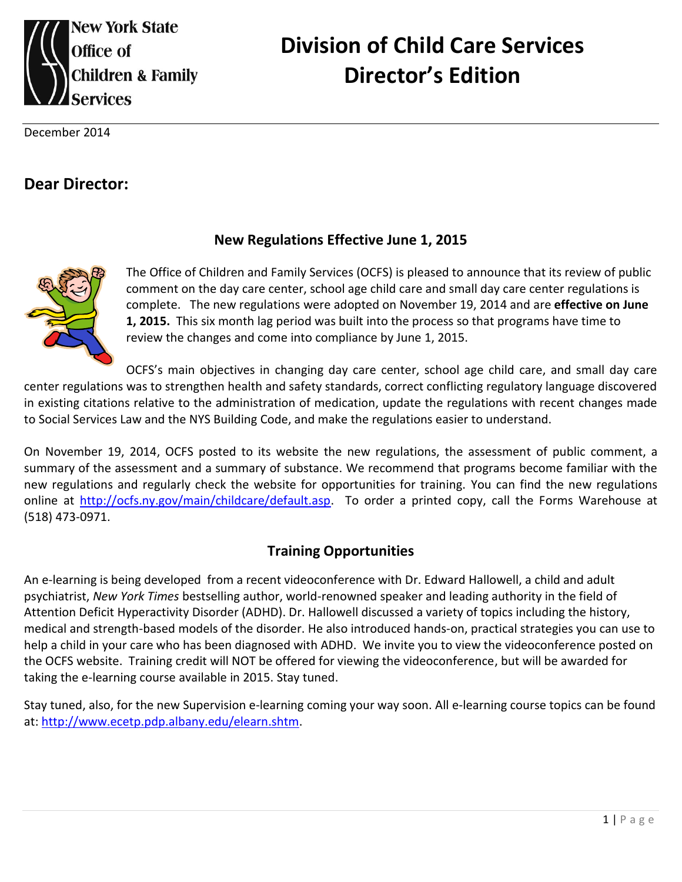

# **Division of Child Care Services Director's Edition**

December 2014

# **Dear Director:**

#### **New Regulations Effective June 1, 2015**



The Office of Children and Family Services (OCFS) is pleased to announce that its review of public comment on the day care center, school age child care and small day care center regulations is complete. The new regulations were adopted on November 19, 2014 and are **effective on June 1, 2015.** This six month lag period was built into the process so that programs have time to review the changes and come into compliance by June 1, 2015.

OCFS's main objectives in changing day care center, school age child care, and small day care center regulations was to strengthen health and safety standards, correct conflicting regulatory language discovered in existing citations relative to the administration of medication, update the regulations with recent changes made to Social Services Law and the NYS Building Code, and make the regulations easier to understand.

On November 19, 2014, OCFS posted to its website the new regulations, the assessment of public comment, a summary of the assessment and a summary of substance. We recommend that programs become familiar with the new regulations and regularly check the website for opportunities for training. You can find the new regulations online at [http://ocfs.ny.gov/main/childcare/default.asp.](http://ocfs.ny.gov/main/childcare/default.asp) To order a printed copy, call the Forms Warehouse at (518) 473-0971.

#### **Training Opportunities**

An e-learning is being developed from a recent videoconference with Dr. Edward Hallowell, a child and adult psychiatrist, *New York Times* bestselling author, world-renowned speaker and leading authority in the field of Attention Deficit Hyperactivity Disorder (ADHD). Dr. Hallowell discussed a variety of topics including the history, medical and strength-based models of the disorder. He also introduced hands-on, practical strategies you can use to help a child in your care who has been diagnosed with ADHD. We invite you to view the videoconference posted on the OCFS website. Training credit will NOT be offered for viewing the videoconference, but will be awarded for taking the e-learning course available in 2015. Stay tuned.

Stay tuned, also, for the new Supervision e-learning coming your way soon. All e-learning course topics can be found at: [http://www.ecetp.pdp.albany.edu/elearn.shtm.](http://www.ecetp.pdp.albany.edu/elearn.shtm)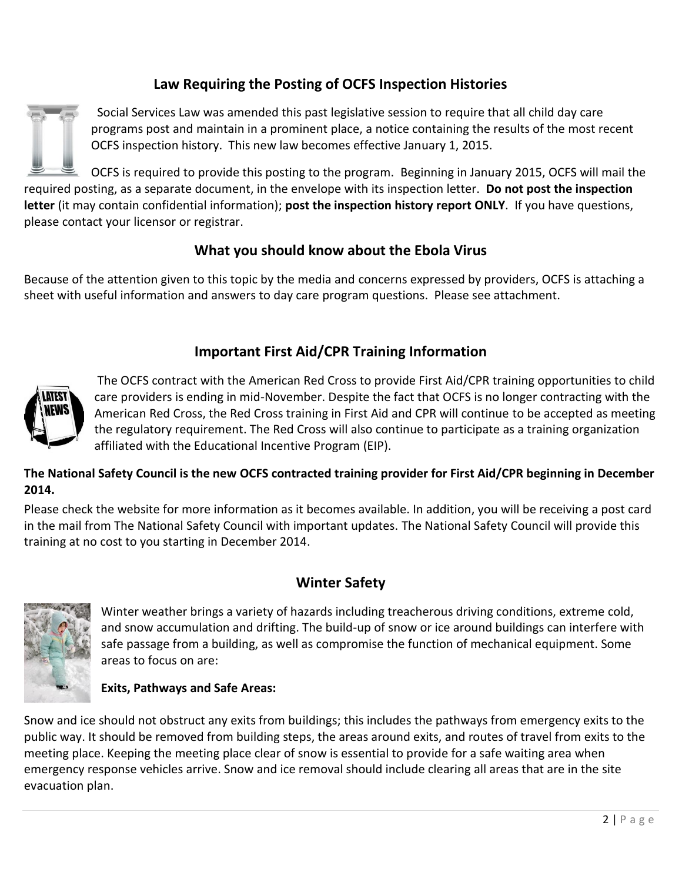## **Law Requiring the Posting of OCFS Inspection Histories**



Social Services Law was amended this past legislative session to require that all child day care programs post and maintain in a prominent place, a notice containing the results of the most recent OCFS inspection history. This new law becomes effective January 1, 2015.

OCFS is required to provide this posting to the program. Beginning in January 2015, OCFS will mail the required posting, as a separate document, in the envelope with its inspection letter. **Do not post the inspection letter** (it may contain confidential information); **post the inspection history report ONLY**. If you have questions, please contact your licensor or registrar.

#### **What you should know about the Ebola Virus**

Because of the attention given to this topic by the media and concerns expressed by providers, OCFS is attaching a sheet with useful information and answers to day care program questions. Please see attachment.

#### **Important First Aid/CPR Training Information**



The OCFS contract with the American Red Cross to provide First Aid/CPR training opportunities to child care providers is ending in mid-November. Despite the fact that OCFS is no longer contracting with the American Red Cross, the Red Cross training in First Aid and CPR will continue to be accepted as meeting the regulatory requirement. The Red Cross will also continue to participate as a training organization affiliated with the Educational Incentive Program (EIP).

#### **The National Safety Council is the new OCFS contracted training provider for First Aid/CPR beginning in December 2014.**

Please check the website for more information as it becomes available. In addition, you will be receiving a post card in the mail from The National Safety Council with important updates. The National Safety Council will provide this training at no cost to you starting in December 2014.

#### **Winter Safety**



Winter weather brings a variety of hazards including treacherous driving conditions, extreme cold, and snow accumulation and drifting. The build-up of snow or ice around buildings can interfere with safe passage from a building, as well as compromise the function of mechanical equipment. Some areas to focus on are:

#### **Exits, Pathways and Safe Areas:**

Snow and ice should not obstruct any exits from buildings; this includes the pathways from emergency exits to the public way. It should be removed from building steps, the areas around exits, and routes of travel from exits to the meeting place. Keeping the meeting place clear of snow is essential to provide for a safe waiting area when emergency response vehicles arrive. Snow and ice removal should include clearing all areas that are in the site evacuation plan.